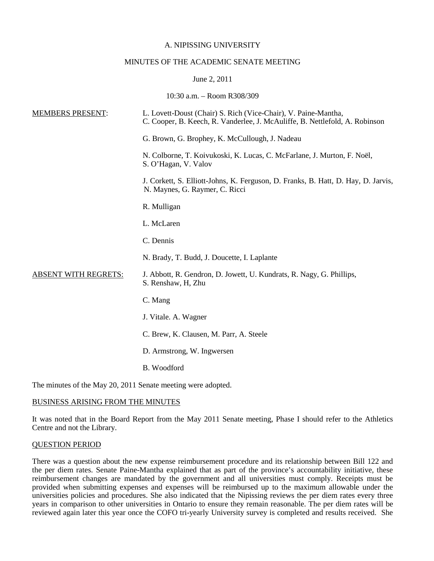## A. NIPISSING UNIVERSITY

## MINUTES OF THE ACADEMIC SENATE MEETING

## June 2, 2011

10:30 a.m. – Room R308/309

| <b>MEMBERS PRESENT:</b>     | L. Lovett-Doust (Chair) S. Rich (Vice-Chair), V. Paine-Mantha,<br>C. Cooper, B. Keech, R. Vanderlee, J. McAuliffe, B. Nettlefold, A. Robinson |
|-----------------------------|-----------------------------------------------------------------------------------------------------------------------------------------------|
|                             | G. Brown, G. Brophey, K. McCullough, J. Nadeau                                                                                                |
|                             | N. Colborne, T. Koivukoski, K. Lucas, C. McFarlane, J. Murton, F. Noël,<br>S. O'Hagan, V. Valov                                               |
|                             | J. Corkett, S. Elliott-Johns, K. Ferguson, D. Franks, B. Hatt, D. Hay, D. Jarvis,<br>N. Maynes, G. Raymer, C. Ricci                           |
|                             | R. Mulligan                                                                                                                                   |
|                             | L. McLaren                                                                                                                                    |
|                             | C. Dennis                                                                                                                                     |
|                             | N. Brady, T. Budd, J. Doucette, I. Laplante                                                                                                   |
| <b>ABSENT WITH REGRETS:</b> | J. Abbott, R. Gendron, D. Jowett, U. Kundrats, R. Nagy, G. Phillips,<br>S. Renshaw, H, Zhu                                                    |
|                             | C. Mang                                                                                                                                       |
|                             | J. Vitale. A. Wagner                                                                                                                          |
|                             | C. Brew, K. Clausen, M. Parr, A. Steele                                                                                                       |
|                             | D. Armstrong, W. Ingwersen                                                                                                                    |
|                             | B. Woodford                                                                                                                                   |
|                             |                                                                                                                                               |

The minutes of the May 20, 2011 Senate meeting were adopted.

## BUSINESS ARISING FROM THE MINUTES

It was noted that in the Board Report from the May 2011 Senate meeting, Phase I should refer to the Athletics Centre and not the Library.

## QUESTION PERIOD

There was a question about the new expense reimbursement procedure and its relationship between Bill 122 and the per diem rates. Senate Paine-Mantha explained that as part of the province's accountability initiative, these reimbursement changes are mandated by the government and all universities must comply. Receipts must be provided when submitting expenses and expenses will be reimbursed up to the maximum allowable under the universities policies and procedures. She also indicated that the Nipissing reviews the per diem rates every three years in comparison to other universities in Ontario to ensure they remain reasonable. The per diem rates will be reviewed again later this year once the COFO tri-yearly University survey is completed and results received. She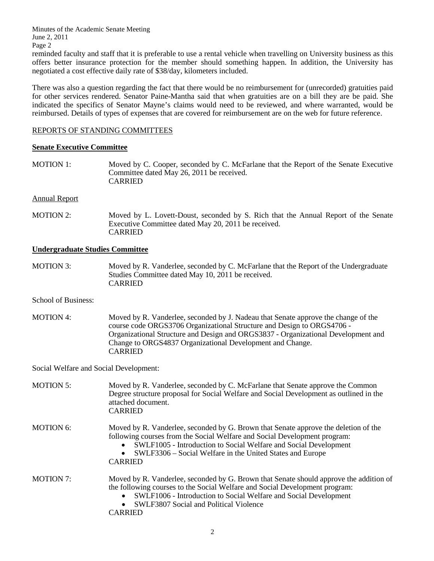Minutes of the Academic Senate Meeting June 2, 2011 Page 2

reminded faculty and staff that it is preferable to use a rental vehicle when travelling on University business as this offers better insurance protection for the member should something happen. In addition, the University has negotiated a cost effective daily rate of \$38/day, kilometers included.

There was also a question regarding the fact that there would be no reimbursement for (unrecorded) gratuities paid for other services rendered. Senator Paine-Mantha said that when gratuities are on a bill they are be paid. She indicated the specifics of Senator Mayne's claims would need to be reviewed, and where warranted, would be reimbursed. Details of types of expenses that are covered for reimbursement are on the web for future reference.

## REPORTS OF STANDING COMMITTEES

## **Senate Executive Committee**

MOTION 1: Moved by C. Cooper, seconded by C. McFarlane that the Report of the Senate Executive Committee dated May 26, 2011 be received. CARRIED

## Annual Report

MOTION 2: Moved by L. Lovett-Doust, seconded by S. Rich that the Annual Report of the Senate Executive Committee dated May 20, 2011 be received. CARRIED

## **Undergraduate Studies Committee**

- MOTION 3: Moved by R. Vanderlee, seconded by C. McFarlane that the Report of the Undergraduate Studies Committee dated May 10, 2011 be received. CARRIED
- School of Business:
- MOTION 4: Moved by R. Vanderlee, seconded by J. Nadeau that Senate approve the change of the course code ORGS3706 Organizational Structure and Design to ORGS4706 - Organizational Structure and Design and ORGS3837 - Organizational Development and Change to ORGS4837 Organizational Development and Change. CARRIED

Social Welfare and Social Development:

| <b>MOTION 5:</b> | Moved by R. Vanderlee, seconded by C. McFarlane that Senate approve the Common<br>Degree structure proposal for Social Welfare and Social Development as outlined in the<br>attached document.<br><b>CARRIED</b>                                                                                                                              |
|------------------|-----------------------------------------------------------------------------------------------------------------------------------------------------------------------------------------------------------------------------------------------------------------------------------------------------------------------------------------------|
| <b>MOTION 6:</b> | Moved by R. Vanderlee, seconded by G. Brown that Senate approve the deletion of the<br>following courses from the Social Welfare and Social Development program:<br>SWLF1005 - Introduction to Social Welfare and Social Development<br>$\bullet$<br>SWLF3306 – Social Welfare in the United States and Europe<br>$\bullet$<br><b>CARRIED</b> |
| <b>MOTION 7:</b> | Moved by R. Vanderlee, seconded by G. Brown that Senate should approve the addition of<br>the following courses to the Social Welfare and Social Development program:<br>SWLF1006 - Introduction to Social Welfare and Social Development<br>SWLF3807 Social and Political Violence<br>$\bullet$<br>CARRIED                                   |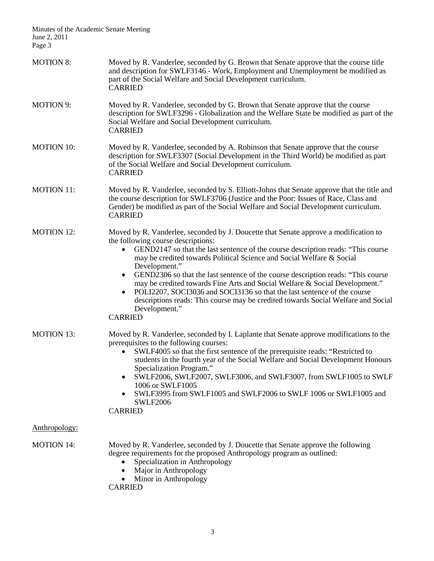Minutes of the Academic Senate Meeting June 2, 2011 Page 3

| <b>MOTION 8:</b>  | Moved by R. Vanderlee, seconded by G. Brown that Senate approve that the course title<br>and description for SWLF3146 - Work, Employment and Unemployment be modified as<br>part of the Social Welfare and Social Development curriculum.<br><b>CARRIED</b>                                                                                                                                                                                                                                                                                                                                                                                                                                              |
|-------------------|----------------------------------------------------------------------------------------------------------------------------------------------------------------------------------------------------------------------------------------------------------------------------------------------------------------------------------------------------------------------------------------------------------------------------------------------------------------------------------------------------------------------------------------------------------------------------------------------------------------------------------------------------------------------------------------------------------|
| <b>MOTION 9:</b>  | Moved by R. Vanderlee, seconded by G. Brown that Senate approve that the course<br>description for SWLF3296 - Globalization and the Welfare State be modified as part of the<br>Social Welfare and Social Development curriculum.<br><b>CARRIED</b>                                                                                                                                                                                                                                                                                                                                                                                                                                                      |
| <b>MOTION 10:</b> | Moved by R. Vanderlee, seconded by A. Robinson that Senate approve that the course<br>description for SWLF3307 (Social Development in the Third World) be modified as part<br>of the Social Welfare and Social Development curriculum.<br><b>CARRIED</b>                                                                                                                                                                                                                                                                                                                                                                                                                                                 |
| <b>MOTION 11:</b> | Moved by R. Vanderlee, seconded by S. Elliott-Johns that Senate approve that the title and<br>the course description for SWLF3706 (Justice and the Poor: Issues of Race, Class and<br>Gender) be modified as part of the Social Welfare and Social Development curriculum.<br><b>CARRIED</b>                                                                                                                                                                                                                                                                                                                                                                                                             |
| <b>MOTION 12:</b> | Moved by R. Vanderlee, seconded by J. Doucette that Senate approve a modification to<br>the following course descriptions:<br>GEND2147 so that the last sentence of the course description reads: "This course<br>may be credited towards Political Science and Social Welfare & Social<br>Development."<br>GEND2306 so that the last sentence of the course description reads: "This course<br>$\bullet$<br>may be credited towards Fine Arts and Social Welfare & Social Development."<br>POLI2207, SOCI3036 and SOCI3136 so that the last sentence of the course<br>$\bullet$<br>descriptions reads: This course may be credited towards Social Welfare and Social<br>Development."<br><b>CARRIED</b> |
| <b>MOTION 13:</b> | Moved by R. Vanderlee, seconded by I. Laplante that Senate approve modifications to the<br>prerequisites to the following courses:<br>SWLF4005 so that the first sentence of the prerequisite reads: "Restricted to<br>students in the fourth year of the Social Welfare and Social Development Honours<br>Specialization Program."<br>SWLF2006, SWLF2007, SWLF3006, and SWLF3007, from SWLF1005 to SWLF<br>1006 or SWLF1005<br>SWLF3995 from SWLF1005 and SWLF2006 to SWLF 1006 or SWLF1005 and<br><b>SWLF2006</b><br><b>CARRIED</b>                                                                                                                                                                    |
| Anthropology:     |                                                                                                                                                                                                                                                                                                                                                                                                                                                                                                                                                                                                                                                                                                          |
| <b>MOTION 14:</b> | Moved by R. Vanderlee, seconded by J. Doucette that Senate approve the following<br>degree requirements for the proposed Anthropology program as outlined:<br>Specialization in Anthropology<br>Major in Anthropology<br>$\bullet$<br>Minor in Anthropology<br><b>CARRIED</b>                                                                                                                                                                                                                                                                                                                                                                                                                            |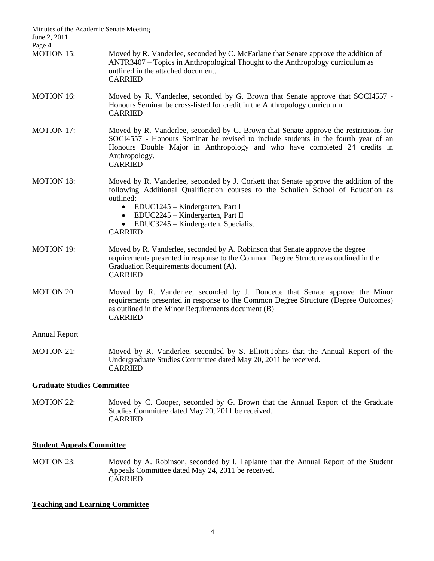| Minutes of the Academic Senate Meeting<br>June 2, 2011 |                                                                                                                                                                                                                                                                                                                                        |  |
|--------------------------------------------------------|----------------------------------------------------------------------------------------------------------------------------------------------------------------------------------------------------------------------------------------------------------------------------------------------------------------------------------------|--|
| Page 4                                                 |                                                                                                                                                                                                                                                                                                                                        |  |
| <b>MOTION 15:</b>                                      | Moved by R. Vanderlee, seconded by C. McFarlane that Senate approve the addition of<br>ANTR3407 - Topics in Anthropological Thought to the Anthropology curriculum as<br>outlined in the attached document.<br><b>CARRIED</b>                                                                                                          |  |
| <b>MOTION 16:</b>                                      | Moved by R. Vanderlee, seconded by G. Brown that Senate approve that SOCI4557 -<br>Honours Seminar be cross-listed for credit in the Anthropology curriculum.<br><b>CARRIED</b>                                                                                                                                                        |  |
| <b>MOTION 17:</b>                                      | Moved by R. Vanderlee, seconded by G. Brown that Senate approve the restrictions for<br>SOCI4557 - Honours Seminar be revised to include students in the fourth year of an<br>Honours Double Major in Anthropology and who have completed 24 credits in<br>Anthropology.<br><b>CARRIED</b>                                             |  |
| <b>MOTION 18:</b>                                      | Moved by R. Vanderlee, seconded by J. Corkett that Senate approve the addition of the<br>following Additional Qualification courses to the Schulich School of Education as<br>outlined:<br>EDUC1245 – Kindergarten, Part I<br>$\bullet$<br>• EDUC2245 - Kindergarten, Part II<br>EDUC3245 – Kindergarten, Specialist<br><b>CARRIED</b> |  |
| <b>MOTION 19:</b>                                      | Moved by R. Vanderlee, seconded by A. Robinson that Senate approve the degree<br>requirements presented in response to the Common Degree Structure as outlined in the<br>Graduation Requirements document (A).<br><b>CARRIED</b>                                                                                                       |  |
| <b>MOTION 20:</b>                                      | Moved by R. Vanderlee, seconded by J. Doucette that Senate approve the Minor<br>requirements presented in response to the Common Degree Structure (Degree Outcomes)<br>as outlined in the Minor Requirements document (B)<br><b>CARRIED</b>                                                                                            |  |
| <b>Annual Report</b>                                   |                                                                                                                                                                                                                                                                                                                                        |  |
| <b>MOTION 21:</b>                                      | Moved by R. Vanderlee, seconded by S. Elliott-Johns that the Annual Report of the<br>Undergraduate Studies Committee dated May 20, 2011 be received.<br><b>CARRIED</b>                                                                                                                                                                 |  |
| <b>Graduate Studies Committee</b>                      |                                                                                                                                                                                                                                                                                                                                        |  |

MOTION 22: Moved by C. Cooper, seconded by G. Brown that the Annual Report of the Graduate Studies Committee dated May 20, 2011 be received. CARRIED

## **Student Appeals Committee**

MOTION 23: Moved by A. Robinson, seconded by I. Laplante that the Annual Report of the Student Appeals Committee dated May 24, 2011 be received. CARRIED

# **Teaching and Learning Committee**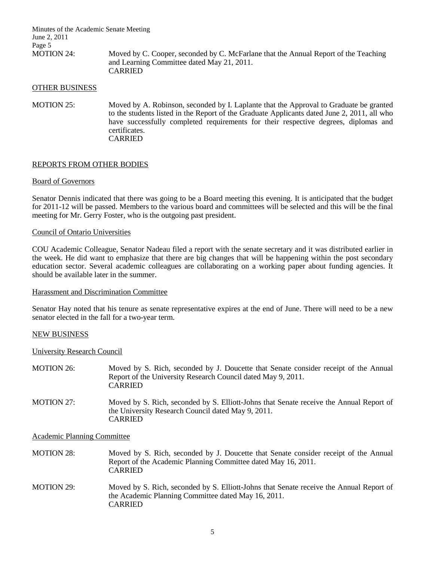Minutes of the Academic Senate Meeting June 2, 2011 Page 5<br>MOTION 24: Moved by C. Cooper, seconded by C. McFarlane that the Annual Report of the Teaching and Learning Committee dated May 21, 2011. CARRIED

### OTHER BUSINESS

MOTION 25: Moved by A. Robinson, seconded by I. Laplante that the Approval to Graduate be granted to the students listed in the Report of the Graduate Applicants dated June 2, 2011, all who have successfully completed requirements for their respective degrees, diplomas and certificates. CARRIED

## REPORTS FROM OTHER BODIES

#### Board of Governors

Senator Dennis indicated that there was going to be a Board meeting this evening. It is anticipated that the budget for 2011-12 will be passed. Members to the various board and committees will be selected and this will be the final meeting for Mr. Gerry Foster, who is the outgoing past president.

### Council of Ontario Universities

COU Academic Colleague, Senator Nadeau filed a report with the senate secretary and it was distributed earlier in the week. He did want to emphasize that there are big changes that will be happening within the post secondary education sector. Several academic colleagues are collaborating on a working paper about funding agencies. It should be available later in the summer.

### Harassment and Discrimination Committee

Senator Hay noted that his tenure as senate representative expires at the end of June. There will need to be a new senator elected in the fall for a two-year term.

#### NEW BUSINESS

### University Research Council

| <b>MOTION 26:</b> | Moved by S. Rich, seconded by J. Doucette that Senate consider receipt of the Annual<br>Report of the University Research Council dated May 9, 2011.<br><b>CARRIED</b> |
|-------------------|------------------------------------------------------------------------------------------------------------------------------------------------------------------------|
| MOTION 27:        | Moved by S. Rich, seconded by S. Elliott-Johns that Senate receive the Annual Report of<br>the University Research Council dated May 9, 2011.<br><b>CARRIED</b>        |

## Academic Planning Committee

MOTION 28: Moved by S. Rich, seconded by J. Doucette that Senate consider receipt of the Annual Report of the Academic Planning Committee dated May 16, 2011. CARRIED

MOTION 29: Moved by S. Rich, seconded by S. Elliott-Johns that Senate receive the Annual Report of the Academic Planning Committee dated May 16, 2011. CARRIED